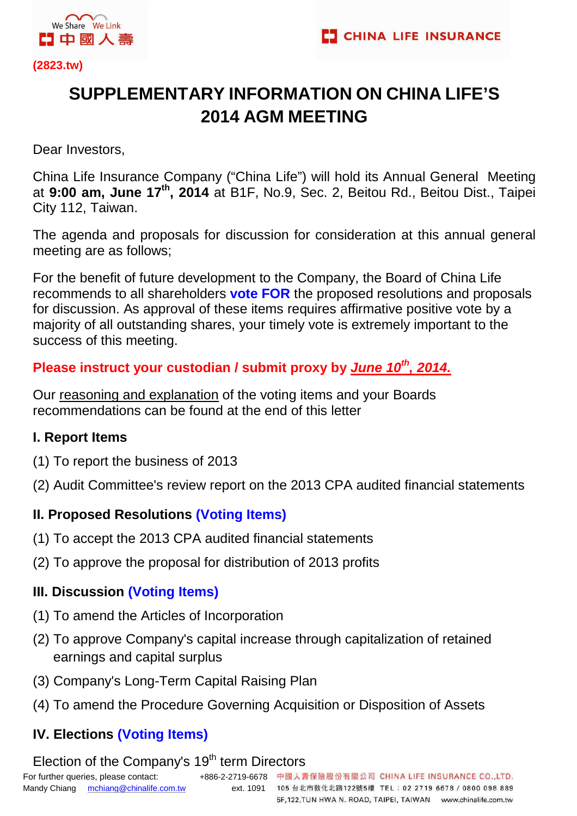

# **SUPPLEMENTARY INFORMATION ON CHINA LIFE'S 2014 AGM MEETING**

Dear Investors,

China Life Insurance Company ("China Life") will hold its Annual General Meeting at **9:00 am, June 17th, 2014** at B1F, No.9, Sec. 2, Beitou Rd., Beitou Dist., Taipei City 112, Taiwan.

The agenda and proposals for discussion for consideration at this annual general meeting are as follows;

For the benefit of future development to the Company, the Board of China Life recommends to all shareholders **vote FOR** the proposed resolutions and proposals for discussion. As approval of these items requires affirmative positive vote by a majority of all outstanding shares, your timely vote is extremely important to the success of this meeting.

# **Please instruct your custodian / submit proxy by June 10th, 2014.**

Our reasoning and explanation of the voting items and your Boards recommendations can be found at the end of this letter

# **I. Report Items**

- (1) To report the business of 2013
- (2) Audit Committee's review report on the 2013 CPA audited financial statements

# **II. Proposed Resolutions (Voting Items)**

- (1) To accept the 2013 CPA audited financial statements
- (2) To approve the proposal for distribution of 2013 profits

# **III. Discussion (Voting Items)**

- (1) To amend the Articles of Incorporation
- (2) To approve Company's capital increase through capitalization of retained earnings and capital surplus
- (3) Company's Long-Term Capital Raising Plan
- (4) To amend the Procedure Governing Acquisition or Disposition of Assets

# **IV. Elections (Voting Items)**

# Election of the Company's 19<sup>th</sup> term Directors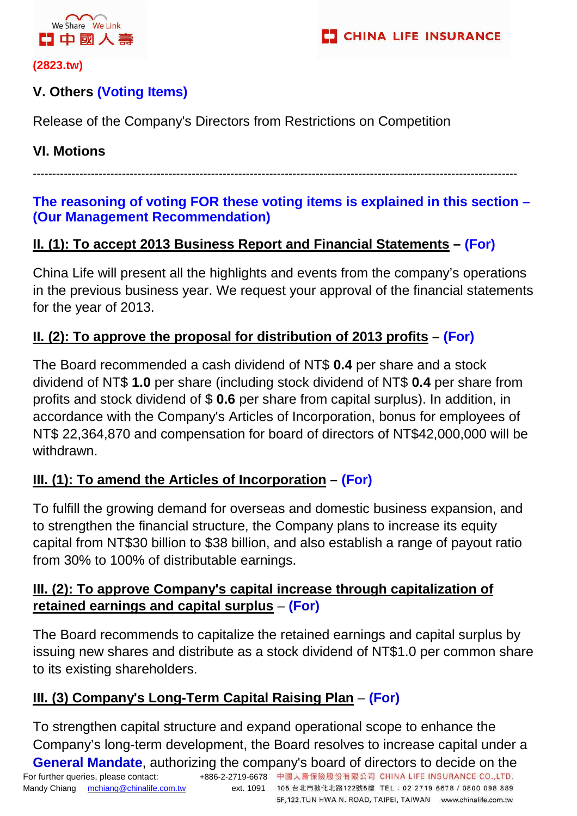

### **V. Others (Voting Items)**

Release of the Company's Directors from Restrictions on Competition

#### **VI. Motions**

-----------------------------------------------------------------------------------------------------------------------------

#### **The reasoning of voting FOR these voting items is explained in this section – (Our Management Recommendation)**

### **II. (1): To accept 2013 Business Report and Financial Statements – (For)**

China Life will present all the highlights and events from the company's operations in the previous business year. We request your approval of the financial statements for the year of 2013.

### **II. (2): To approve the proposal for distribution of 2013 profits – (For)**

The Board recommended a cash dividend of NT\$ **0.4** per share and a stock dividend of NT\$ **1.0** per share (including stock dividend of NT\$ **0.4** per share from profits and stock dividend of \$ **0.6** per share from capital surplus). In addition, in accordance with the Company's Articles of Incorporation, bonus for employees of NT\$ 22,364,870 and compensation for board of directors of NT\$42,000,000 will be withdrawn.

# **III. (1): To amend the Articles of Incorporation – (For)**

To fulfill the growing demand for overseas and domestic business expansion, and to strengthen the financial structure, the Company plans to increase its equity capital from NT\$30 billion to \$38 billion, and also establish a range of payout ratio from 30% to 100% of distributable earnings.

### **III. (2): To approve Company's capital increase through capitalization of retained earnings and capital surplus** – **(For)**

The Board recommends to capitalize the retained earnings and capital surplus by issuing new shares and distribute as a stock dividend of NT\$1.0 per common share to its existing shareholders.

### **III. (3) Company's Long-Term Capital Raising Plan** – **(For)**

To strengthen capital structure and expand operational scope to enhance the Company's long-term development, the Board resolves to increase capital under a

5F,122,TUN HWA N. ROAD, TAIPEI, TAIWAN www.chinalife.com.tw

For further queries, please contact: +886-2-2719-6678 中國人壽保險股份有限公司 CHINA LIFE INSURANCE CO.,LTD. Mandy Chiang mchiang@chinalife.com.tw ext. 1091 105 台北市敦化北路122號5樓 TEL: 02 2719 6678 / 0800 098 889 **General Mandate**, authorizing the company's board of directors to decide on the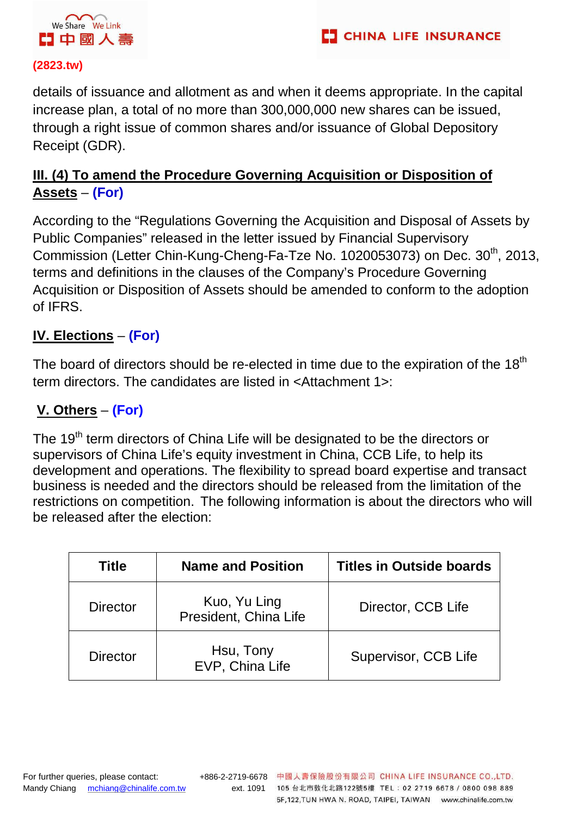

details of issuance and allotment as and when it deems appropriate. In the capital increase plan, a total of no more than 300,000,000 new shares can be issued, through a right issue of common shares and/or issuance of Global Depository Receipt (GDR).

### **III. (4) To amend the Procedure Governing Acquisition or Disposition of Assets** – **(For)**

According to the "Regulations Governing the Acquisition and Disposal of Assets by Public Companies" released in the letter issued by Financial Supervisory Commission (Letter Chin-Kung-Cheng-Fa-Tze No. 1020053073) on Dec. 30<sup>th</sup>, 2013, terms and definitions in the clauses of the Company's Procedure Governing Acquisition or Disposition of Assets should be amended to conform to the adoption of IFRS.

# **IV. Elections** – **(For)**

The board of directors should be re-elected in time due to the expiration of the  $18<sup>th</sup>$ term directors. The candidates are listed in <Attachment 1>:

### **V. Others** – **(For)**

The 19<sup>th</sup> term directors of China Life will be designated to be the directors or supervisors of China Life's equity investment in China, CCB Life, to help its development and operations. The flexibility to spread board expertise and transact business is needed and the directors should be released from the limitation of the restrictions on competition. The following information is about the directors who will be released after the election:

| <b>Title</b>    | <b>Name and Position</b>              | <b>Titles in Outside boards</b> |
|-----------------|---------------------------------------|---------------------------------|
| <b>Director</b> | Kuo, Yu Ling<br>President, China Life | Director, CCB Life              |
| <b>Director</b> | Hsu, Tony<br>EVP, China Life          | Supervisor, CCB Life            |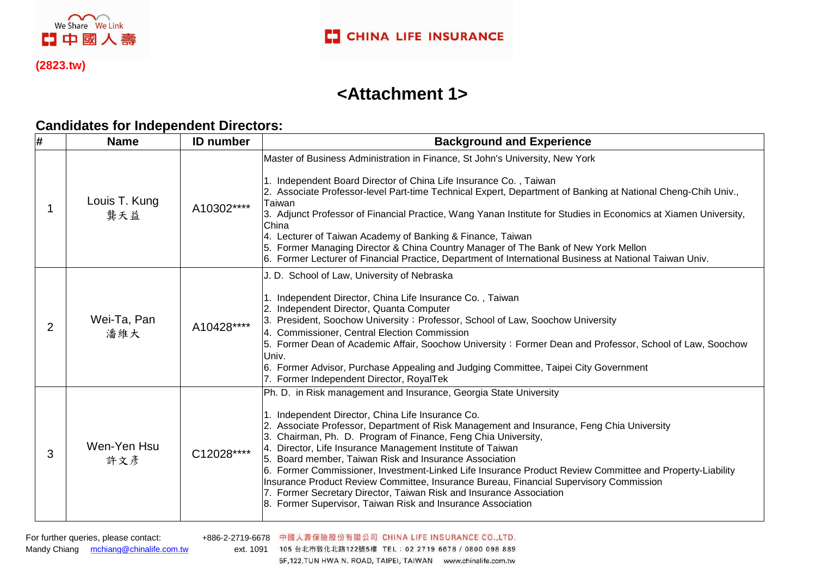

 $\sim$ We Share We Link

【1中國人壽

# **<Attachment 1>**

#### **Candidates for Independent Directors:**

| # | <b>Name</b>          | <b>ID</b> number | <b>Background and Experience</b>                                                                                                                                                                                                                                                                                                                                                                                                                                                                                                                                                                                                                                                                                                                         |  |
|---|----------------------|------------------|----------------------------------------------------------------------------------------------------------------------------------------------------------------------------------------------------------------------------------------------------------------------------------------------------------------------------------------------------------------------------------------------------------------------------------------------------------------------------------------------------------------------------------------------------------------------------------------------------------------------------------------------------------------------------------------------------------------------------------------------------------|--|
|   | Louis T. Kung<br>龔天益 | A10302****       | Master of Business Administration in Finance, St John's University, New York<br>1. Independent Board Director of China Life Insurance Co., Taiwan<br>2. Associate Professor-level Part-time Technical Expert, Department of Banking at National Cheng-Chih Univ.,<br>Taiwan<br>3. Adjunct Professor of Financial Practice, Wang Yanan Institute for Studies in Economics at Xiamen University,<br>China<br>4. Lecturer of Taiwan Academy of Banking & Finance, Taiwan<br>5. Former Managing Director & China Country Manager of The Bank of New York Mellon<br>6. Former Lecturer of Financial Practice, Department of International Business at National Taiwan Univ.                                                                                   |  |
| 2 | Wei-Ta, Pan<br>潘維大   | A10428****       | J. D. School of Law, University of Nebraska<br>. Independent Director, China Life Insurance Co., Taiwan<br>2. Independent Director, Quanta Computer<br>3. President, Soochow University; Professor, School of Law, Soochow University<br>4. Commissioner, Central Election Commission<br>5. Former Dean of Academic Affair, Soochow University; Former Dean and Professor, School of Law, Soochow<br>Univ.<br>6. Former Advisor, Purchase Appealing and Judging Committee, Taipei City Government<br>7. Former Independent Director, RoyalTek                                                                                                                                                                                                            |  |
| 3 | Wen-Yen Hsu<br>許文彥   | C12028****       | Ph. D. in Risk management and Insurance, Georgia State University<br>1. Independent Director, China Life Insurance Co.<br>2. Associate Professor, Department of Risk Management and Insurance, Feng Chia University<br>3. Chairman, Ph. D. Program of Finance, Feng Chia University,<br>4. Director, Life Insurance Management Institute of Taiwan<br>5. Board member, Taiwan Risk and Insurance Association<br>6. Former Commissioner, Investment-Linked Life Insurance Product Review Committee and Property-Liability<br>Insurance Product Review Committee, Insurance Bureau, Financial Supervisory Commission<br>7. Former Secretary Director, Taiwan Risk and Insurance Association<br>8. Former Supervisor, Taiwan Risk and Insurance Association |  |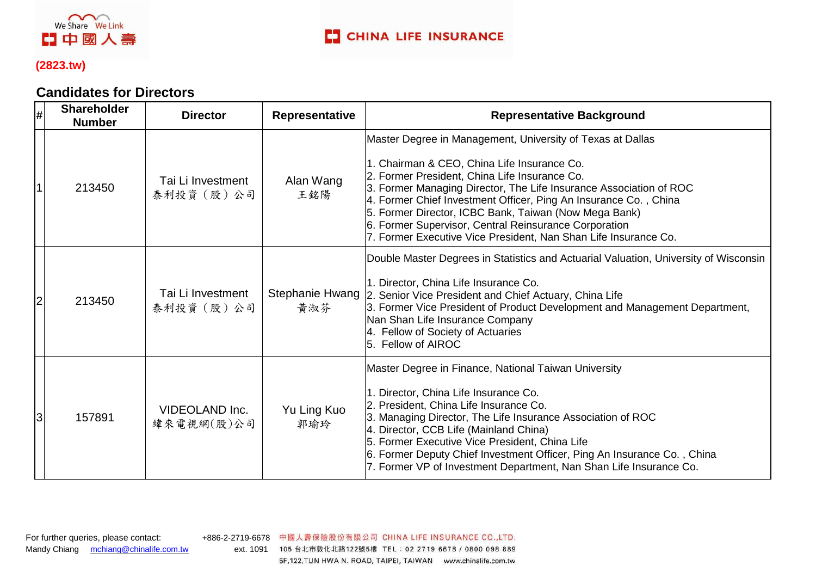

#### **Candidates for Directors**

| #              | <b>Shareholder</b><br><b>Number</b> | <b>Director</b>                  | Representative         | <b>Representative Background</b>                                                                                                                                                                                                                                                                                                                                                                                                                                                          |
|----------------|-------------------------------------|----------------------------------|------------------------|-------------------------------------------------------------------------------------------------------------------------------------------------------------------------------------------------------------------------------------------------------------------------------------------------------------------------------------------------------------------------------------------------------------------------------------------------------------------------------------------|
|                | 213450                              | Tai Li Investment<br>泰利投資(股)公司   | Alan Wang<br>王銘陽       | Master Degree in Management, University of Texas at Dallas<br>1. Chairman & CEO, China Life Insurance Co.<br>2. Former President, China Life Insurance Co.<br>3. Former Managing Director, The Life Insurance Association of ROC<br>4. Former Chief Investment Officer, Ping An Insurance Co., China<br>5. Former Director, ICBC Bank, Taiwan (Now Mega Bank)<br>6. Former Supervisor, Central Reinsurance Corporation<br>7. Former Executive Vice President, Nan Shan Life Insurance Co. |
| $\overline{2}$ | 213450                              | Tai Li Investment<br>泰利投資 (股) 公司 | Stephanie Hwang<br>黃淑芬 | Double Master Degrees in Statistics and Actuarial Valuation, University of Wisconsin<br>1. Director, China Life Insurance Co.<br>2. Senior Vice President and Chief Actuary, China Life<br>3. Former Vice President of Product Development and Management Department,<br>Nan Shan Life Insurance Company<br>4. Fellow of Society of Actuaries<br>5. Fellow of AIROC                                                                                                                       |
| 3              | 157891                              | VIDEOLAND Inc.<br>緯來電視網(股)公司     | Yu Ling Kuo<br>郭瑜玲     | Master Degree in Finance, National Taiwan University<br>1. Director, China Life Insurance Co.<br>2. President, China Life Insurance Co.<br>3. Managing Director, The Life Insurance Association of ROC<br>4. Director, CCB Life (Mainland China)<br>5. Former Executive Vice President, China Life<br>6. Former Deputy Chief Investment Officer, Ping An Insurance Co., China<br>7. Former VP of Investment Department, Nan Shan Life Insurance Co.                                       |

Mandy Chiang mchiang@chinalife.com.tw